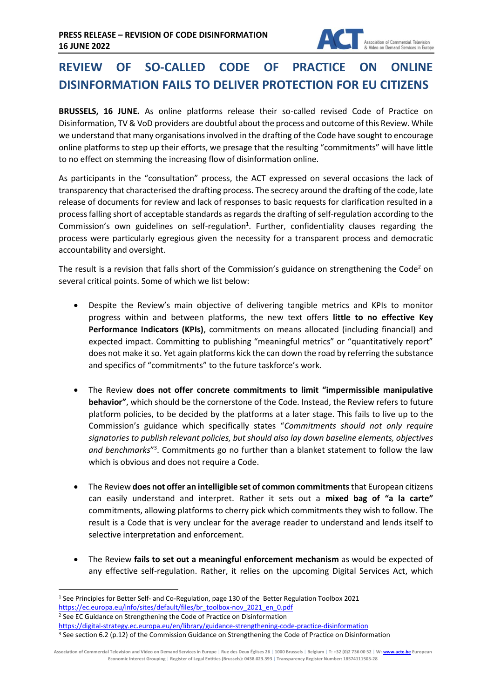

## **REVIEW OF SO-CALLED CODE OF PRACTICE ON ONLINE DISINFORMATION FAILS TO DELIVER PROTECTION FOR EU CITIZENS**

**BRUSSELS, 16 JUNE.** As online platforms release their so-called revised Code of Practice on Disinformation, TV & VoD providers are doubtful about the process and outcome of this Review. While we understand that many organisations involved in the drafting of the Code have sought to encourage online platforms to step up their efforts, we presage that the resulting "commitments" will have little to no effect on stemming the increasing flow of disinformation online.

As participants in the "consultation" process, the ACT expressed on several occasions the lack of transparency that characterised the drafting process. The secrecy around the drafting of the code, late release of documents for review and lack of responses to basic requests for clarification resulted in a process falling short of acceptable standards as regards the drafting of self-regulation according to the Commission's own guidelines on self-regulation<sup>1</sup>. Further, confidentiality clauses regarding the process were particularly egregious given the necessity for a transparent process and democratic accountability and oversight.

The result is a revision that falls short of the Commission's guidance on strengthening the Code<sup>2</sup> on several critical points. Some of which we list below:

- Despite the Review's main objective of delivering tangible metrics and KPIs to monitor progress within and between platforms, the new text offers **little to no effective Key Performance Indicators (KPIs)**, commitments on means allocated (including financial) and expected impact. Committing to publishing "meaningful metrics" or "quantitatively report" does not make it so. Yet again platforms kick the can down the road by referring the substance and specifics of "commitments" to the future taskforce's work.
- The Review **does not offer concrete commitments to limit "impermissible manipulative behavior"**, which should be the cornerstone of the Code. Instead, the Review refers to future platform policies, to be decided by the platforms at a later stage. This fails to live up to the Commission's guidance which specifically states "*Commitments should not only require signatories to publish relevant policies, but should also lay down baseline elements, objectives*  and benchmarks"<sup>3</sup>. Commitments go no further than a blanket statement to follow the law which is obvious and does not require a Code.
- The Review **does not offer an intelligible set of common commitments**that European citizens can easily understand and interpret. Rather it sets out a **mixed bag of "a la carte"**  commitments, allowing platforms to cherry pick which commitments they wish to follow. The result is a Code that is very unclear for the average reader to understand and lends itself to selective interpretation and enforcement.
- The Review **fails to set out a meaningful enforcement mechanism** as would be expected of any effective self-regulation. Rather, it relies on the upcoming Digital Services Act, which

<sup>2</sup> See EC Guidance on Strengthening the Code of Practice on Disinformation

<https://digital-strategy.ec.europa.eu/en/library/guidance-strengthening-code-practice-disinformation>

<sup>1</sup> See Principles for Better Self- and Co-Regulation, page 130 of the Better Regulation Toolbox 2021 [https://ec.europa.eu/info/sites/default/files/br\\_toolbox-nov\\_2021\\_en\\_0.pdf](https://ec.europa.eu/info/sites/default/files/br_toolbox-nov_2021_en_0.pdf)

<sup>3</sup> See section 6.2 (p.12) of the Commission Guidance on Strengthening the Code of Practice on Disinformation

Association of Commercial Television and Video on Demand Services in Europe | Rue des Deux Églises 26 | 1000 Brussels | Belgium | T: +32 (0)2 736 00 52 | W: **www.acte.be** European **Economic Interest Grouping** | **Register of Legal Entities (Brussels): 0438.023.393** | **Transparency Register Number: 18574111503-28**